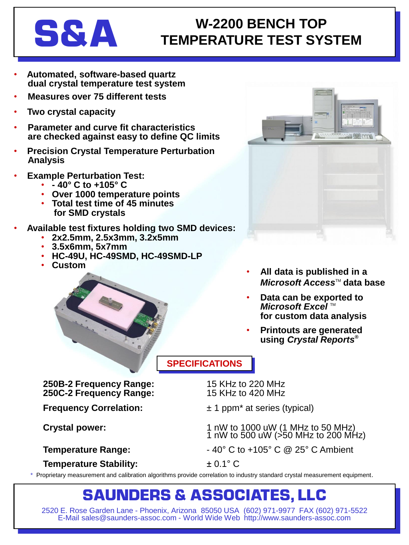# **S&A**

### **W-2200 BENCH TOP TEMPERATURE TEST SYSTEM**

- **Automated, software-based quartz dual crystal temperature test system**
- **Measures over 75 different tests**
- **Two crystal capacity**
- **Parameter and curve fit characteristics are checked against easy to define QC limits**
- **Precision Crystal Temperature Perturbation Analysis**
- **Example Perturbation Test:**
	- **- 40° C to +105° C**
	- **Over 1000 temperature points**
	- **Total test time of 45 minutes for SMD crystals**
- **Available test fixtures holding two SMD devices:**
	- **2x2.5mm, 2.5x3mm, 3.2x5mm**
	- **3.5x6mm, 5x7mm**
	- **HC-49U, HC-49SMD, HC-49SMD-LP**
	- **Custom**



- **All data is published in a** *Microsoft Access*™ data base
- **Data can be exported to** *Microsoft Excel* ™ **for custom data analysis**
- **Printouts are generated using** *Crystal Reports***®**

### **SPECIFICATIONS**

**250B-2 Frequency Range:** 15 KHz to 220 MHz **250C-2 Frequency Range:** 15 KHz to 420 MHz

- **Frequency Correlation:**  $\pm 1$  ppm<sup>\*</sup> at series (typical)
- Crystal power: 1 nW to 1000 uW (1 MHz to 50 MHz) 1 nW to 500 uW  $\geq$ 50 MHz to 200 MHz)
- **Temperature Range:**  $-40^{\circ}$  C to  $+105^{\circ}$  C @ 25° C Ambient

**Temperature Stability:** ± 0.1° C

\* Proprietary measurement and calibration algorithms provide correlation to industry standard crystal measurement equipment.

### **SAUNDERS & ASSOCIATES, LLC**

2520 E. Rose Garden Lane - Phoenix, Arizona 85050 USA (602) 971-9977 FAX (602) 971-5522 E-Mail sales@saunders-assoc.com - World Wide Web http://www.saunders-assoc.com